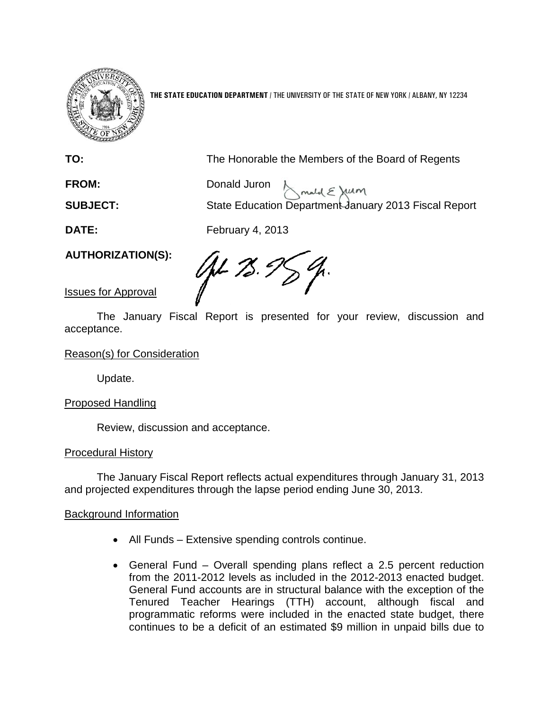

**THE STATE EDUCATION DEPARTMENT** / THE UNIVERSITY OF THE STATE OF NEW YORK / ALBANY, NY 12234

**TO:** The Honorable the Members of the Board of Regents

**FROM:** Donald Juron

**SUBJECT:** State Education Department January 2013 Fiscal Report

**DATE:** February 4, 2013

**AUTHORIZATION(S):**

Gt 75. I

Issues for Approval

The January Fiscal Report is presented for your review, discussion and acceptance.

Reason(s) for Consideration

Update.

Proposed Handling

Review, discussion and acceptance.

# Procedural History

The January Fiscal Report reflects actual expenditures through January 31, 2013 and projected expenditures through the lapse period ending June 30, 2013.

# Background Information

- All Funds Extensive spending controls continue.
- General Fund Overall spending plans reflect a 2.5 percent reduction from the 2011-2012 levels as included in the 2012-2013 enacted budget. General Fund accounts are in structural balance with the exception of the Tenured Teacher Hearings (TTH) account, although fiscal and programmatic reforms were included in the enacted state budget, there continues to be a deficit of an estimated \$9 million in unpaid bills due to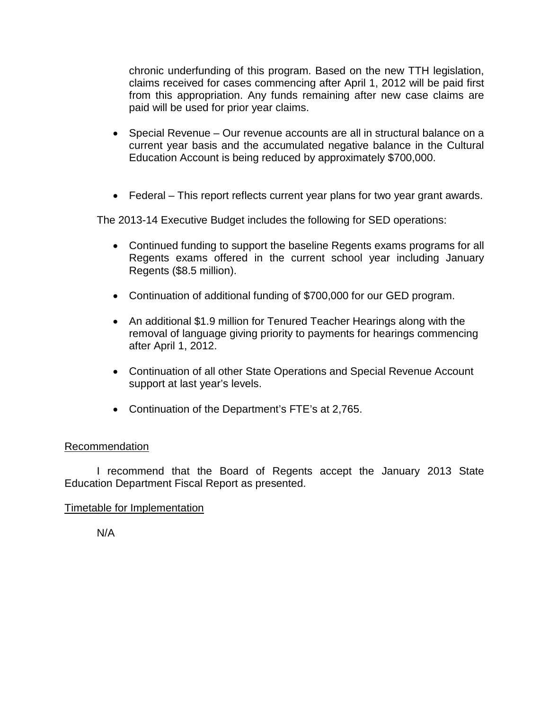chronic underfunding of this program. Based on the new TTH legislation, claims received for cases commencing after April 1, 2012 will be paid first from this appropriation. Any funds remaining after new case claims are paid will be used for prior year claims.

- Special Revenue Our revenue accounts are all in structural balance on a current year basis and the accumulated negative balance in the Cultural Education Account is being reduced by approximately \$700,000.
- Federal This report reflects current year plans for two year grant awards.

The 2013-14 Executive Budget includes the following for SED operations:

- Continued funding to support the baseline Regents exams programs for all Regents exams offered in the current school year including January Regents (\$8.5 million).
- Continuation of additional funding of \$700,000 for our GED program.
- An additional \$1.9 million for Tenured Teacher Hearings along with the removal of language giving priority to payments for hearings commencing after April 1, 2012.
- Continuation of all other State Operations and Special Revenue Account support at last year's levels.
- Continuation of the Department's FTE's at 2,765.

## Recommendation

I recommend that the Board of Regents accept the January 2013 State Education Department Fiscal Report as presented.

## Timetable for Implementation

N/A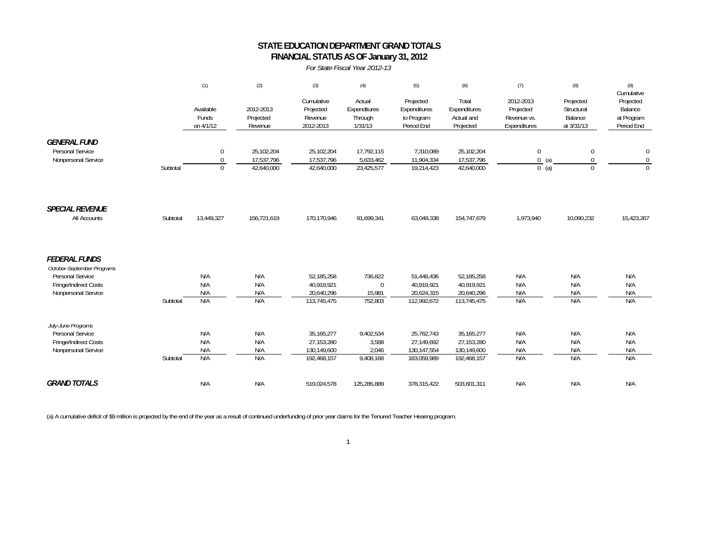### **STATE EDUCATION DEPARTMENT GRAND TOTALS FINANCIAL STATUS AS OF January 31, 2012**

#### *For State Fiscal Year 2012-13*

|                                                                                                                        |          | (1)                                 | (2)                                    | (3)                                                      | (4)                                          | (5)                                                    | (6)                                                      | (7)                                                   | (8)                                              | (9)<br>Cumulative                                |
|------------------------------------------------------------------------------------------------------------------------|----------|-------------------------------------|----------------------------------------|----------------------------------------------------------|----------------------------------------------|--------------------------------------------------------|----------------------------------------------------------|-------------------------------------------------------|--------------------------------------------------|--------------------------------------------------|
|                                                                                                                        |          | Available<br>Funds<br>on 4/1/12     | 2012-2013<br>Projected<br>Revenue      | Cumulative<br>Projected<br>Revenue<br>2012-2013          | Actual<br>Expenditures<br>Through<br>1/31/13 | Projected<br>Expenditures<br>to Program<br>Period End  | Total<br>Expenditures<br>Actual and<br>Projected         | 2012-2013<br>Projected<br>Revenue vs.<br>Expenditures | Projected<br>Structural<br>Balance<br>at 3/31/13 | Projected<br>Balance<br>at Program<br>Period End |
| <b>GENERAL FUND</b><br>Personal Service<br>Nonpersonal Service                                                         | Subtotal | $\mathbf 0$<br>$\Omega$<br>$\Omega$ | 25,102,204<br>17,537,796<br>42,640,000 | 25,102,204<br>17,537,796<br>42,640,000                   | 17,792,115<br>5,633,462<br>23,425,577        | 7,310,089<br>11,904,334<br>19,214,423                  | 25,102,204<br>17,537,796<br>42,640,000                   | $\overline{0}$<br>0(a)<br>$0$ (a)                     | $\mathbf 0$<br>$\mathbf 0$<br>$\Omega$           | $\mathbf{0}$<br>$\mathbf{0}$<br>$\Omega$         |
| <b>SPECIAL REVENUE</b><br>All Accounts                                                                                 | Subtotal | 13,449,327                          | 156,721,619                            | 170,170,946                                              | 91,699,341                                   | 63,048,338                                             | 154,747,679                                              | 1,973,940                                             | 10,090,232                                       | 15,423,267                                       |
| <b>FEDERAL FUNDS</b><br>October-September Programs<br>Personal Service<br>Fringe/Indirect Costs<br>Nonpersonal Service | Subtotal | N/A<br>N/A<br>N/A<br>N/A            | N/A<br>N/A<br>N/A<br>N/A               | 52,185,258<br>40,919,921<br>20,640,296<br>113,745,475    | 736,822<br>$\mathbf{0}$<br>15,981<br>752,803 | 51,448,436<br>40,919,921<br>20,624,315<br>112.992.672  | 52,185,258<br>40,919,921<br>20,640,296<br>113,745,475    | N/A<br>N/A<br>N/A<br>N/A                              | N/A<br>N/A<br>N/A<br>N/A                         | N/A<br>N/A<br>N/A<br>N/A                         |
| July-June Programs<br>Personal Service<br>Fringe/Indirect Costs<br>Nonpersonal Service                                 | Subtotal | N/A<br>N/A<br>N/A<br>N/A            | N/A<br>N/A<br>N/A<br>N/A               | 35, 165, 277<br>27,153,280<br>130,149,600<br>192,468,157 | 9,402,534<br>3,588<br>2,046<br>9,408,168     | 25,762,743<br>27,149,692<br>130,147,554<br>183,059,989 | 35, 165, 277<br>27,153,280<br>130,149,600<br>192,468,157 | N/A<br>N/A<br>N/A<br>N/A                              | N/A<br>N/A<br>N/A<br>N/A                         | N/A<br>N/A<br>N/A<br>N/A                         |
| <b>GRAND TOTALS</b>                                                                                                    |          | N/A                                 | N/A                                    | 519,024,578                                              | 125,285,889                                  | 378,315,422                                            | 503,601,311                                              | N/A                                                   | N/A                                              | N/A                                              |

(a) A cumulative deficit of \$9 million is projected by the end of the year as a result of continued underfunding of prior year claims for the Tenured Teacher Hearing program.

1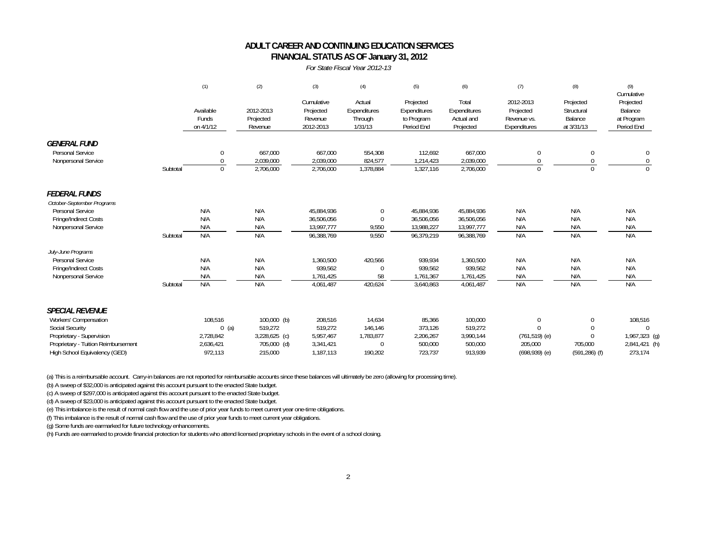### **FINANCIAL STATUS AS OF January 31, 2012 ADULT CAREER AND CONTINUING EDUCATION SERVICES**

#### *For State Fiscal Year 2012-13*

|                                                                                                                             |                                                                                                                                                                                                                                                                                                                                                                                                                                                                                                                                                                                                                                                                                                                                                                                                                                                                                                                                                                                                            | (1)                               | (2)                                       | (3)                                             | (4)                                          | (5)                                                   | (6)                                              | (7)                                                   | (8)                                                 | (9)<br>Cumulative                                     |
|-----------------------------------------------------------------------------------------------------------------------------|------------------------------------------------------------------------------------------------------------------------------------------------------------------------------------------------------------------------------------------------------------------------------------------------------------------------------------------------------------------------------------------------------------------------------------------------------------------------------------------------------------------------------------------------------------------------------------------------------------------------------------------------------------------------------------------------------------------------------------------------------------------------------------------------------------------------------------------------------------------------------------------------------------------------------------------------------------------------------------------------------------|-----------------------------------|-------------------------------------------|-------------------------------------------------|----------------------------------------------|-------------------------------------------------------|--------------------------------------------------|-------------------------------------------------------|-----------------------------------------------------|-------------------------------------------------------|
|                                                                                                                             |                                                                                                                                                                                                                                                                                                                                                                                                                                                                                                                                                                                                                                                                                                                                                                                                                                                                                                                                                                                                            | Available<br>Funds<br>on 4/1/12   | 2012-2013<br>Projected<br>Revenue         | Cumulative<br>Projected<br>Revenue<br>2012-2013 | Actual<br>Expenditures<br>Through<br>1/31/13 | Projected<br>Expenditures<br>to Program<br>Period End | Total<br>Expenditures<br>Actual and<br>Projected | 2012-2013<br>Projected<br>Revenue vs.<br>Expenditures | Projected<br>Structural<br>Balance<br>at 3/31/13    | Projected<br>Balance<br>at Program<br>Period End      |
| <b>GENERAL FUND</b><br>Personal Service<br>Nonpersonal Service                                                              | 667,000<br>667,000<br>554,308<br>112,692<br>667,000<br>$\Omega$<br>$\theta$<br>2,039,000<br>2,039,000<br>2,039,000<br>824,577<br>1,214,423<br>0<br>$\mathbf{0}$<br>2,706,000<br>1,378,884<br>2,706,000<br>2,706,000<br>1,327,116<br>Subtotal<br>$\Omega$<br>N/A<br>N/A<br>N/A<br>45,884,936<br>45,884,936<br>45,884,936<br>0<br>N/A<br>N/A<br>36,506,056<br>36,506,056<br>36,506,056<br>N/A<br>13,997,777<br>13,988,227<br>13,997,777<br>N/A<br>N/A<br>9,550<br>N/A<br>N/A<br>N/A<br>9,550<br>96,379,219<br>96,388,769<br>N/A<br>96,388,769<br>Subtotal<br>N/A<br>N/A<br>1,360,500<br>420,566<br>939,934<br>1,360,500<br>N/A<br>N/A<br>N/A<br>939,562<br>939,562<br>N/A<br>939,562<br>N/A<br>N/A<br>N/A<br>1,761,425<br>58<br>1,761,367<br>1,761,425<br>N/A<br>N/A<br>4,061,487<br>420,624<br>4,061,487<br>N/A<br>3,640,863<br>Subtotal<br>108,516<br>$100,000$ (b)<br>208,516<br>14,634<br>85,366<br>100,000<br>$\mathbf 0$<br>519,272<br>$0$ (a)<br>519,272<br>519,272<br>146,146<br>373,126<br>$\Omega$ | $\Omega$                          |                                           |                                                 |                                              |                                                       |                                                  |                                                       |                                                     |                                                       |
|                                                                                                                             |                                                                                                                                                                                                                                                                                                                                                                                                                                                                                                                                                                                                                                                                                                                                                                                                                                                                                                                                                                                                            |                                   |                                           |                                                 |                                              |                                                       |                                                  |                                                       |                                                     |                                                       |
| <b>FEDERAL FUNDS</b><br>October-September Programs<br>Personal Service<br>Fringe/Indirect Costs<br>Nonpersonal Service      |                                                                                                                                                                                                                                                                                                                                                                                                                                                                                                                                                                                                                                                                                                                                                                                                                                                                                                                                                                                                            |                                   |                                           |                                                 |                                              |                                                       |                                                  |                                                       | N/A<br>N/A<br>N/A                                   | N/A<br>N/A<br>N/A                                     |
|                                                                                                                             |                                                                                                                                                                                                                                                                                                                                                                                                                                                                                                                                                                                                                                                                                                                                                                                                                                                                                                                                                                                                            |                                   |                                           |                                                 |                                              |                                                       |                                                  |                                                       | N/A                                                 | N/A                                                   |
| July-June Programs<br>Personal Service<br>Fringe/Indirect Costs<br>Nonpersonal Service                                      |                                                                                                                                                                                                                                                                                                                                                                                                                                                                                                                                                                                                                                                                                                                                                                                                                                                                                                                                                                                                            |                                   |                                           |                                                 |                                              |                                                       |                                                  |                                                       | N/A<br>N/A<br>N/A<br>N/A                            | N/A<br>N/A<br>N/A<br>N/A                              |
| <b>SPECIAL REVENUE</b><br>Workers' Compensation                                                                             |                                                                                                                                                                                                                                                                                                                                                                                                                                                                                                                                                                                                                                                                                                                                                                                                                                                                                                                                                                                                            |                                   |                                           |                                                 |                                              |                                                       |                                                  |                                                       | $\boldsymbol{0}$                                    | 108,516                                               |
| <b>Social Security</b><br>Proprietary - Supervision<br>Proprietary - Tuition Reimbursement<br>High School Equivalency (GED) |                                                                                                                                                                                                                                                                                                                                                                                                                                                                                                                                                                                                                                                                                                                                                                                                                                                                                                                                                                                                            | 2,728,842<br>2,636,421<br>972.113 | $3,228,625$ (c)<br>705,000 (d)<br>215,000 | 5,957,467<br>3,341,421<br>1,187,113             | 1,783,877<br>190,202                         | 2,206,267<br>500,000<br>723,737                       | 3,990,144<br>500,000<br>913.939                  | $(761, 519)$ (e)<br>205,000<br>$(698,939)$ (e)        | $\Omega$<br>$\Omega$<br>705,000<br>$(591, 286)$ (f) | $\Omega$<br>1,967,323 (g)<br>2,841,421 (h)<br>273,174 |

(a) This is a reimbursable account. Carry-in balances are not reported for reimbursable accounts since these balances will ultimately be zero (allowing for processing time).

(b) A sweep of \$32,000 is anticipated against this account pursuant to the enacted State budget.

(c) A sweep of \$297,000 is anticipated against this account pursuant to the enacted State budget.

(d) A sweep of \$23,000 is anticipated against this account pursuant to the enacted State budget.

(e) This imbalance is the result of normal cash flow and the use of prior year funds to meet current year one-time obligations.

(f) This imbalance is the result of normal cash flow and the use of prior year funds to meet current year obligations.

(g) Some funds are earmarked for future technology enhancements.

(h) Funds are earmarked to provide financial protection for students who attend licensed proprietary schools in the event of a school closing.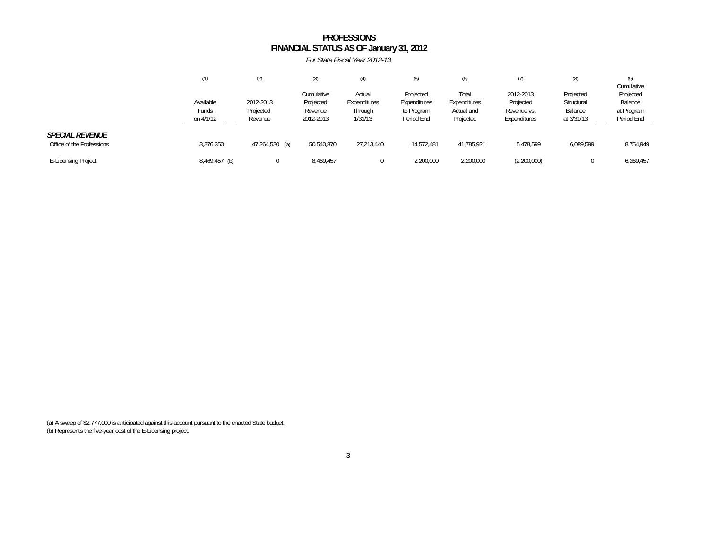### **FINANCIAL STATUS AS OF January 31, 2012 PROFESSIONS**

*For State Fiscal Year 2012-13*

|                                                     | (1)                             | (2)                               | (3)                                             | (4)                                          | (5)                                                   | (6)                                              | (7)                                                   | (8)                                              | (9)<br>Cumulative                                |
|-----------------------------------------------------|---------------------------------|-----------------------------------|-------------------------------------------------|----------------------------------------------|-------------------------------------------------------|--------------------------------------------------|-------------------------------------------------------|--------------------------------------------------|--------------------------------------------------|
|                                                     | Available<br>Funds<br>on 4/1/12 | 2012-2013<br>Projected<br>Revenue | Cumulative<br>Projected<br>Revenue<br>2012-2013 | Actual<br>Expenditures<br>Through<br>1/31/13 | Projected<br>Expenditures<br>to Program<br>Period End | Total<br>Expenditures<br>Actual and<br>Projected | 2012-2013<br>Projected<br>Revenue vs.<br>Expenditures | Projected<br>Structural<br>Balance<br>at 3/31/13 | Projected<br>Balance<br>at Program<br>Period End |
| <i>SPECIAL REVENUE</i><br>Office of the Professions | 3,276,350                       | 47,264,520 (a)                    | 50,540,870                                      | 27,213,440                                   | 14,572,481                                            | 41,785,921                                       | 5,478,599                                             | 6,089,599                                        | 8,754,949                                        |
| <b>E-Licensing Project</b>                          | 8,469,457 (b)                   |                                   | 8,469,457                                       |                                              | 2,200,000                                             | 2,200,000                                        | (2,200,000)                                           | U                                                | 6,269,457                                        |

(a) A sweep of \$2,777,000 is anticipated against this account pursuant to the enacted State budget. (b) Represents the five-year cost of the E-Licensing project.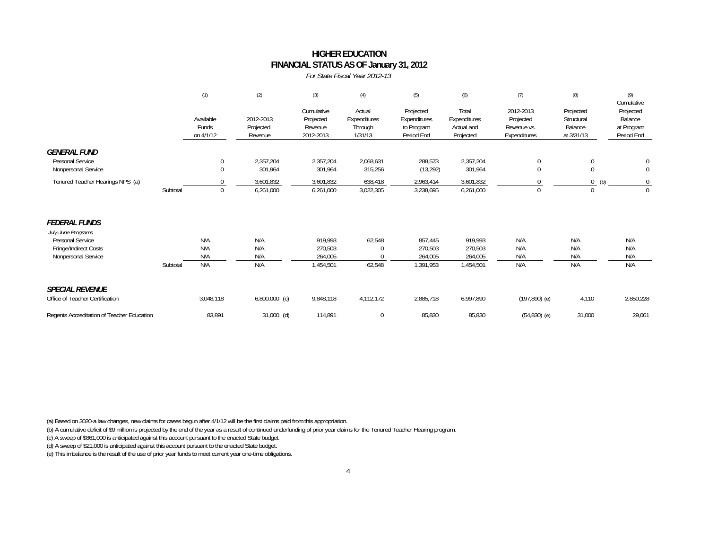## **HIGHER EDUCATIONFINANCIAL STATUS AS OF January 31, 2012**

*For State Fiscal Year 2012-13*

|                                                                  |          | (1)                             | (2)                               | (3)                                             | (4)                                          | (5)                                                   | (6)                                              | (7)                                                   | (8)                                              | (9)<br>Cumulative                                |
|------------------------------------------------------------------|----------|---------------------------------|-----------------------------------|-------------------------------------------------|----------------------------------------------|-------------------------------------------------------|--------------------------------------------------|-------------------------------------------------------|--------------------------------------------------|--------------------------------------------------|
|                                                                  |          | Available<br>Funds<br>on 4/1/12 | 2012-2013<br>Projected<br>Revenue | Cumulative<br>Projected<br>Revenue<br>2012-2013 | Actual<br>Expenditures<br>Through<br>1/31/13 | Projected<br>Expenditures<br>to Program<br>Period End | Total<br>Expenditures<br>Actual and<br>Projected | 2012-2013<br>Projected<br>Revenue vs.<br>Expenditures | Projected<br>Structural<br>Balance<br>at 3/31/13 | Projected<br>Balance<br>at Program<br>Period End |
| <b>GENERAL FUND</b><br>Personal Service<br>Nonpersonal Service   |          | 0<br>$\theta$                   | 2,357,204<br>301,964              | 2,357,204<br>301,964                            | 2,068,631<br>315,256                         | 288,573<br>(13, 292)                                  | 2,357,204<br>301,964                             | $\mathbf 0$<br>$\mathbf 0$                            | 0<br>$\mathbf 0$                                 | 0<br>0                                           |
| Tenured Teacher Hearings NPS (a)                                 | Subtotal | $\Omega$                        | 3,601,832<br>6,261,000            | 3,601,832<br>6,261,000                          | 638,418<br>3,022,305                         | 2,963,414<br>3,238,695                                | 3,601,832<br>6,261,000                           | $\Omega$                                              | 0<br>(b)<br>$\Omega$                             | $\mathbf 0$<br>$\Omega$                          |
| <i>FEDERAL FUNDS</i><br>July-June Programs                       |          |                                 |                                   |                                                 |                                              |                                                       |                                                  |                                                       |                                                  |                                                  |
| Personal Service<br>Fringe/Indirect Costs<br>Nonpersonal Service | Subtotal | N/A<br>N/A<br>N/A<br>N/A        | N/A<br>N/A<br>N/A<br>N/A          | 919,993<br>270,503<br>264,005<br>1,454,501      | 62,548<br>62,548                             | 857,445<br>270,503<br>264,005<br>1,391,953            | 919,993<br>270,503<br>264,005<br>1,454,501       | N/A<br>N/A<br>N/A<br>N/A                              | N/A<br>N/A<br>N/A<br>N/A                         | N/A<br>N/A<br>N/A<br>N/A                         |
| <b>SPECIAL REVENUE</b><br>Office of Teacher Certification        |          | 3,048,118                       | $6,800,000$ (c)                   | 9,848,118                                       | 4,112,172                                    | 2,885,718                                             | 6,997,890                                        | $(197,890)$ (e)                                       | 4,110                                            | 2,850,228                                        |
| Regents Accreditation of Teacher Education                       |          | 83,891                          | $31,000$ (d)                      | 114,891                                         | 0                                            | 85,830                                                | 85,830                                           | $(54,830)$ (e)                                        | 31,000                                           | 29,061                                           |

(a) Based on 3020-a law changes, new claims for cases begun after 4/1/12 will be the first claims paid from this appropriation.

(b) A cumulative deficit of \$9 million is projected by the end of the year as a result of continued underfunding of prior year claims for the Tenured Teacher Hearing program.

(c) A sweep of \$861,000 is anticipated against this account pursuant to the enacted State budget.

(d) A sweep of \$21,000 is anticipated against this account pursuant to the enacted State budget.

(e) This imbalance is the result of the use of prior year funds to meet current year one-time obligations.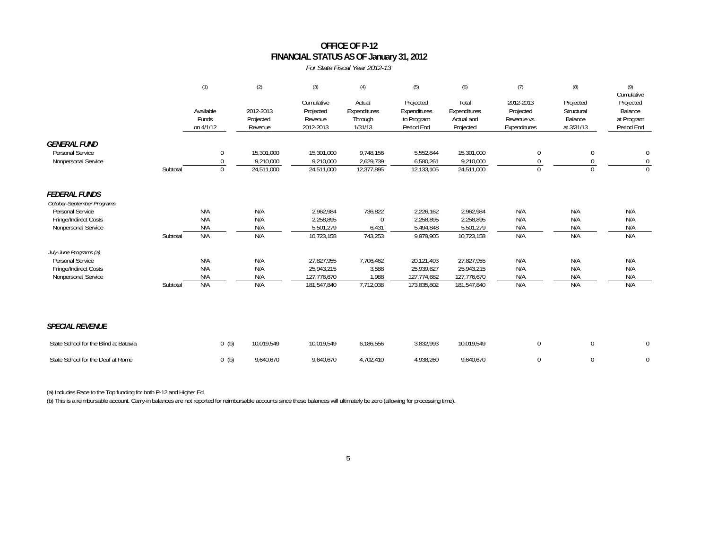### **OFFICE OF P-12 FINANCIAL STATUS AS OF January 31, 2012**

*For State Fiscal Year 2012-13*

|                                                                                                                        |          | (1)                                     | (2)                                   | (3)                                                    | (4)                                          | (5)                                                    | (6)                                                    | (7)                                                   | (8)                                              | (9)<br>Cumulative                                |
|------------------------------------------------------------------------------------------------------------------------|----------|-----------------------------------------|---------------------------------------|--------------------------------------------------------|----------------------------------------------|--------------------------------------------------------|--------------------------------------------------------|-------------------------------------------------------|--------------------------------------------------|--------------------------------------------------|
|                                                                                                                        |          | Available<br>Funds<br>on 4/1/12         | 2012-2013<br>Projected<br>Revenue     | Cumulative<br>Projected<br>Revenue<br>2012-2013        | Actual<br>Expenditures<br>Through<br>1/31/13 | Projected<br>Expenditures<br>to Program<br>Period End  | Total<br>Expenditures<br>Actual and<br>Projected       | 2012-2013<br>Projected<br>Revenue vs.<br>Expenditures | Projected<br>Structural<br>Balance<br>at 3/31/13 | Projected<br>Balance<br>at Program<br>Period End |
| <b>GENERAL FUND</b><br>Personal Service<br>Nonpersonal Service                                                         | Subtotal | $\mathbf 0$<br>$\bf{0}$<br>$\mathbf{0}$ | 15,301,000<br>9,210,000<br>24,511,000 | 15,301,000<br>9,210,000<br>24,511,000                  | 9,748,156<br>2,629,739<br>12,377,895         | 5,552,844<br>6,580,261<br>12,133,105                   | 15,301,000<br>9,210,000<br>24,511,000                  | $\theta$<br>$\Omega$                                  | 0<br>0<br>$\Omega$                               | $\mathbf 0$<br>$\mathbf 0$<br>$\Omega$           |
| <b>FEDERAL FUNDS</b><br>October-September Programs<br>Personal Service<br>Fringe/Indirect Costs<br>Nonpersonal Service | Subtotal | N/A<br>N/A<br>N/A<br>N/A                | N/A<br>N/A<br>N/A<br>N/A              | 2,962,984<br>2.258.895<br>5,501,279<br>10,723,158      | 736,822<br>$\Omega$<br>6,431<br>743,253      | 2,226,162<br>2,258,895<br>5,494,848<br>9,979,905       | 2,962,984<br>2,258,895<br>5,501,279<br>10,723,158      | N/A<br>N/A<br>N/A<br>N/A                              | N/A<br>N/A<br>N/A<br>N/A                         | N/A<br>N/A<br>N/A<br>N/A                         |
| July-June Programs (a)<br>Personal Service<br>Fringe/Indirect Costs<br>Nonpersonal Service                             | Subtotal | N/A<br>N/A<br>N/A<br>N/A                | N/A<br>N/A<br>N/A<br>N/A              | 27,827,955<br>25.943.215<br>127,776,670<br>181,547,840 | 7,706,462<br>3,588<br>1,988<br>7,712,038     | 20,121,493<br>25,939,627<br>127,774,682<br>173,835,802 | 27,827,955<br>25,943,215<br>127,776,670<br>181,547,840 | N/A<br>N/A<br>N/A<br>N/A                              | N/A<br>N/A<br>N/A<br>N/A                         | N/A<br>N/A<br>N/A<br>N/A                         |
| <b>SPECIAL REVENUE</b>                                                                                                 |          |                                         |                                       |                                                        |                                              |                                                        |                                                        |                                                       |                                                  |                                                  |
| State School for the Blind at Batavia                                                                                  |          | $0$ (b)                                 | 10,019,549                            | 10,019,549                                             | 6,186,556                                    | 3,832,993                                              | 10,019,549                                             | $\mathbf{0}$                                          | $\mathbf 0$                                      | 0                                                |
| State School for the Deaf at Rome                                                                                      |          | $0$ (b)                                 | 9,640,670                             | 9.640.670                                              | 4.702.410                                    | 4,938,260                                              | 9,640,670                                              | $\mathbf{0}$                                          | $\mathbf 0$                                      | $\mathbf 0$                                      |

(a) Includes Race to the Top funding for both P-12 and Higher Ed.

(b) This is a reimbursable account. Carry-in balances are not reported for reimbursable accounts since these balances will ultimately be zero (allowing for processing time).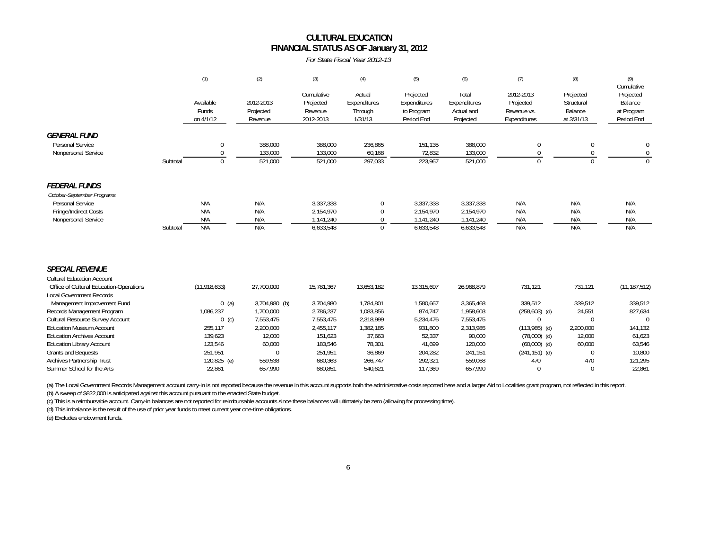### **FINANCIAL STATUS AS OF January 31, 2012 CULTURAL EDUCATION**

*For State Fiscal Year 2012-13*

|          | (1)                                                          | (2)                                                                | (3)                                                            | (4)                                                            | (5)                                                        | (6)                                                            | (7)                                                                  | (8)                                                   | (9)                                                                   |
|----------|--------------------------------------------------------------|--------------------------------------------------------------------|----------------------------------------------------------------|----------------------------------------------------------------|------------------------------------------------------------|----------------------------------------------------------------|----------------------------------------------------------------------|-------------------------------------------------------|-----------------------------------------------------------------------|
|          | Available<br>Funds<br>on 4/1/12                              | 2012-2013<br>Projected<br>Revenue                                  | Cumulative<br>Projected<br>Revenue<br>2012-2013                | Actual<br>Expenditures<br>Through<br>1/31/13                   | Projected<br>Expenditures<br>to Program<br>Period End      | Total<br>Expenditures<br>Actual and<br>Projected               | 2012-2013<br>Projected<br>Revenue vs.<br>Expenditures                | Projected<br>Structural<br>Balance<br>at 3/31/13      | Cumulative<br>Projected<br>Balance<br>at Program<br>Period End        |
| Subtotal | $\mathbf{0}$<br>$\mathbf 0$<br>$\Omega$                      | 388,000<br>133,000<br>521,000                                      | 388,000<br>133,000<br>521,000                                  | 236,865<br>60,168<br>297,033                                   | 151,135<br>72,832<br>223,967                               | 388,000<br>133,000<br>521,000                                  | 0<br>$\Omega$                                                        | 0<br>0<br>$\Omega$                                    | 0<br>$\overline{0}$<br>$\Omega$                                       |
| Subtotal | N/A<br>N/A<br>N/A<br>N/A                                     | N/A<br>N/A<br>N/A<br>N/A                                           | 3,337,338<br>2,154,970<br>1,141,240<br>6,633,548               | 0<br>0<br>0<br>$\mathbf 0$                                     | 3,337,338<br>2,154,970<br>1,141,240<br>6,633,548           | 3,337,338<br>2,154,970<br>1,141,240<br>6,633,548               | N/A<br>N/A<br>N/A<br>N/A                                             | N/A<br>N/A<br>N/A<br>N/A                              | N/A<br>N/A<br>N/A<br>N/A                                              |
|          | (11, 918, 633)<br>$0$ (a)<br>1,086,237<br>$0$ (c)<br>255,117 | 27,700,000<br>3,704,980 (b)<br>1,700,000<br>7,553,475<br>2,200,000 | 15,781,367<br>3,704,980<br>2,786,237<br>7,553,475<br>2,455,117 | 13,653,182<br>1,784,801<br>1,083,856<br>2,318,999<br>1,382,185 | 13,315,697<br>1,580,667<br>874,747<br>5,234,476<br>931,800 | 26,968,879<br>3,365,468<br>1,958,603<br>7,553,475<br>2,313,985 | 731,121<br>339,512<br>$(258,603)$ (d)<br>$\Omega$<br>$(113,985)$ (d) | 731,121<br>339,512<br>24,551<br>$\Omega$<br>2,200,000 | (11, 187, 512)<br>339,512<br>827,634<br>$\Omega$<br>141,132<br>61,623 |
|          |                                                              | 139.623                                                            | 12.000                                                         | 151.623                                                        | 37.663                                                     | 52,337                                                         | 90,000                                                               | $(78,000)$ (d)                                        | 12,000                                                                |

(a) The Local Government Records Management account carry-in is not reported because the revenue in this account supports both the administrative costs reported here and a larger Aid to Localities grant program, not reflec

Education Library Account 123,546 60,000 183,546 78,301 41,699 120,000 (60,000) (d) 60,000 63,546 Grants and Bequests 251,951 0 251,951 36,869 204,282 241,151 (241,151) (d) 0 10,800 Archives Partnership Trust 120,825 (e) 559,538 680,363 266,747 292,321 559,068 470 470 470 121,295<br>12,861 657,990 680,851 540,621 117,369 657,990 0 22,861 22,861 Summer School for the Arts **22,861** 657,990 680,851 540,621 117,369 657,990 0 0 22,861

(b) A sweep of \$822,000 is anticipated against this account pursuant to the enacted State budget.

(c) This is a reimbursable account. Carry-in balances are not reported for reimbursable accounts since these balances will ultimately be zero (allowing for processing time).

(d) This imbalance is the result of the use of prior year funds to meet current year one-time obligations.

(e) Excludes endowment funds.